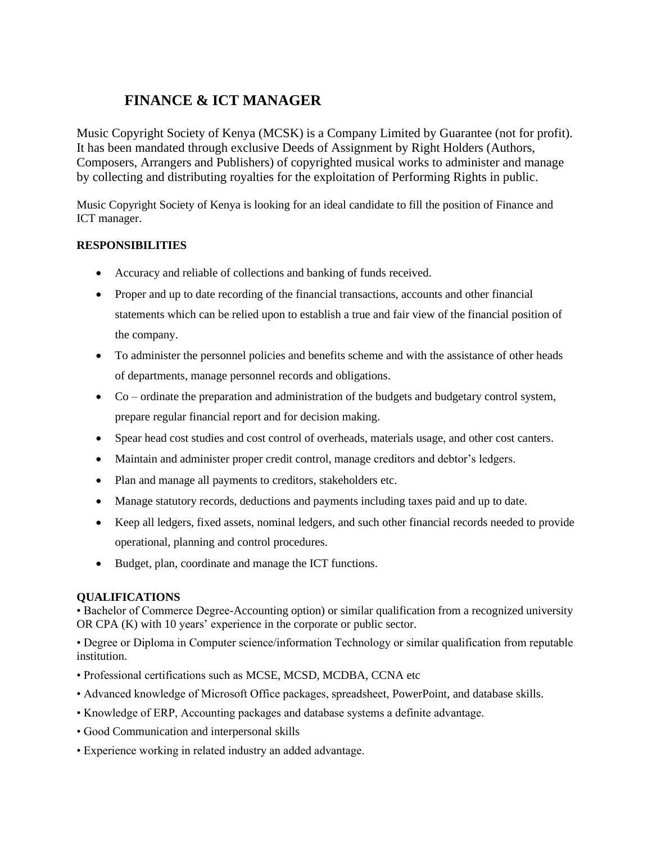# **FINANCE & ICT MANAGER**

Music Copyright Society of Kenya (MCSK) is a Company Limited by Guarantee (not for profit). It has been mandated through exclusive Deeds of Assignment by Right Holders (Authors, Composers, Arrangers and Publishers) of copyrighted musical works to administer and manage by collecting and distributing royalties for the exploitation of Performing Rights in public.

Music Copyright Society of Kenya is looking for an ideal candidate to fill the position of Finance and ICT manager.

# **RESPONSIBILITIES**

- Accuracy and reliable of collections and banking of funds received.
- Proper and up to date recording of the financial transactions, accounts and other financial statements which can be relied upon to establish a true and fair view of the financial position of the company.
- To administer the personnel policies and benefits scheme and with the assistance of other heads of departments, manage personnel records and obligations.
- Co ordinate the preparation and administration of the budgets and budgetary control system, prepare regular financial report and for decision making.
- Spear head cost studies and cost control of overheads, materials usage, and other cost canters.
- Maintain and administer proper credit control, manage creditors and debtor's ledgers.
- Plan and manage all payments to creditors, stakeholders etc.
- Manage statutory records, deductions and payments including taxes paid and up to date.
- Keep all ledgers, fixed assets, nominal ledgers, and such other financial records needed to provide operational, planning and control procedures.
- Budget, plan, coordinate and manage the ICT functions.

# **QUALIFICATIONS**

• Bachelor of Commerce Degree-Accounting option) or similar qualification from a recognized university OR CPA (K) with 10 years' experience in the corporate or public sector.

• Degree or Diploma in Computer science/information Technology or similar qualification from reputable institution.

- Professional certifications such as MCSE, MCSD, MCDBA, CCNA etc
- Advanced knowledge of Microsoft Office packages, spreadsheet, PowerPoint, and database skills.
- Knowledge of ERP, Accounting packages and database systems a definite advantage.
- Good Communication and interpersonal skills
- Experience working in related industry an added advantage.